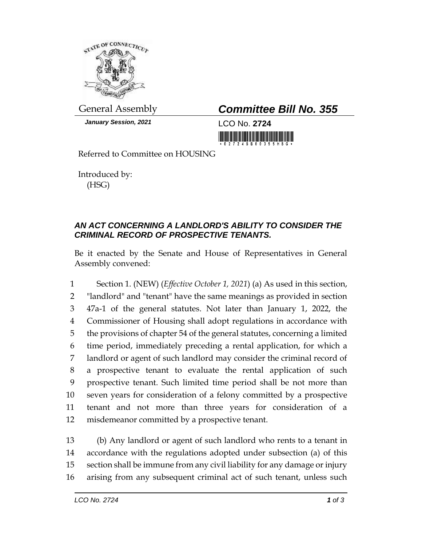

*January Session, 2021* LCO No. **2724**

General Assembly *Committee Bill No. 355*

<u> 1989 - Andrea Stadt British Stadt British Stadt British Stadt British Stadt British Stadt British Stadt Briti</u>

Referred to Committee on HOUSING

Introduced by: (HSG)

## *AN ACT CONCERNING A LANDLORD'S ABILITY TO CONSIDER THE CRIMINAL RECORD OF PROSPECTIVE TENANTS.*

Be it enacted by the Senate and House of Representatives in General Assembly convened:

 Section 1. (NEW) (*Effective October 1, 2021*) (a) As used in this section, "landlord" and "tenant" have the same meanings as provided in section 47a-1 of the general statutes. Not later than January 1, 2022, the Commissioner of Housing shall adopt regulations in accordance with the provisions of chapter 54 of the general statutes, concerning a limited time period, immediately preceding a rental application, for which a landlord or agent of such landlord may consider the criminal record of a prospective tenant to evaluate the rental application of such prospective tenant. Such limited time period shall be not more than seven years for consideration of a felony committed by a prospective tenant and not more than three years for consideration of a misdemeanor committed by a prospective tenant.

 (b) Any landlord or agent of such landlord who rents to a tenant in accordance with the regulations adopted under subsection (a) of this section shall be immune from any civil liability for any damage or injury arising from any subsequent criminal act of such tenant, unless such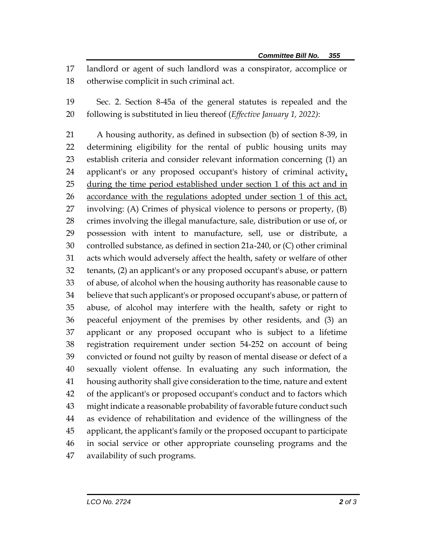landlord or agent of such landlord was a conspirator, accomplice or otherwise complicit in such criminal act.

 Sec. 2. Section 8-45a of the general statutes is repealed and the following is substituted in lieu thereof (*Effective January 1, 2022)*:

 A housing authority, as defined in subsection (b) of section 8-39, in determining eligibility for the rental of public housing units may establish criteria and consider relevant information concerning (1) an 24 applicant's or any proposed occupant's history of criminal activity, 25 during the time period established under section 1 of this act and in 26 accordance with the regulations adopted under section 1 of this act, involving: (A) Crimes of physical violence to persons or property, (B) crimes involving the illegal manufacture, sale, distribution or use of, or possession with intent to manufacture, sell, use or distribute, a controlled substance, as defined in section 21a-240, or (C) other criminal acts which would adversely affect the health, safety or welfare of other tenants, (2) an applicant's or any proposed occupant's abuse, or pattern of abuse, of alcohol when the housing authority has reasonable cause to believe that such applicant's or proposed occupant's abuse, or pattern of abuse, of alcohol may interfere with the health, safety or right to peaceful enjoyment of the premises by other residents, and (3) an applicant or any proposed occupant who is subject to a lifetime registration requirement under section 54-252 on account of being convicted or found not guilty by reason of mental disease or defect of a sexually violent offense. In evaluating any such information, the housing authority shall give consideration to the time, nature and extent of the applicant's or proposed occupant's conduct and to factors which might indicate a reasonable probability of favorable future conduct such as evidence of rehabilitation and evidence of the willingness of the applicant, the applicant's family or the proposed occupant to participate in social service or other appropriate counseling programs and the availability of such programs.